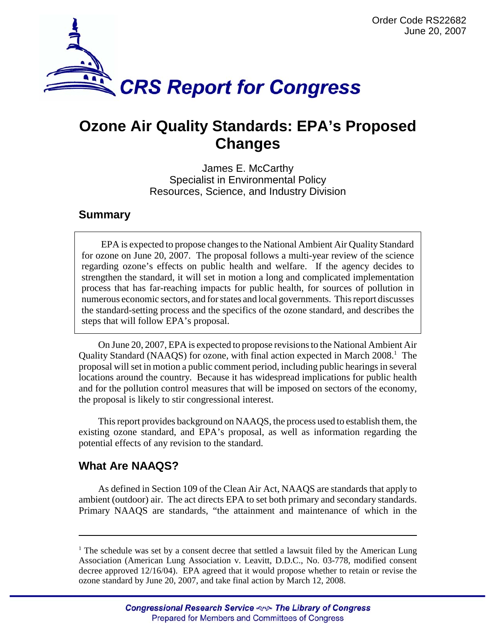

# **Ozone Air Quality Standards: EPA's Proposed Changes**

James E. McCarthy Specialist in Environmental Policy Resources, Science, and Industry Division

### **Summary**

EPA is expected to propose changes to the National Ambient Air Quality Standard for ozone on June 20, 2007. The proposal follows a multi-year review of the science regarding ozone's effects on public health and welfare. If the agency decides to strengthen the standard, it will set in motion a long and complicated implementation process that has far-reaching impacts for public health, for sources of pollution in numerous economic sectors, and for states and local governments. This report discusses the standard-setting process and the specifics of the ozone standard, and describes the steps that will follow EPA's proposal.

On June 20, 2007, EPA is expected to propose revisions to the National Ambient Air Quality Standard (NAAQS) for ozone, with final action expected in March 2008.<sup>1</sup> The proposal will set in motion a public comment period, including public hearings in several locations around the country. Because it has widespread implications for public health and for the pollution control measures that will be imposed on sectors of the economy, the proposal is likely to stir congressional interest.

This report provides background on NAAQS, the process used to establish them, the existing ozone standard, and EPA's proposal, as well as information regarding the potential effects of any revision to the standard.

## **What Are NAAQS?**

As defined in Section 109 of the Clean Air Act, NAAQS are standards that apply to ambient (outdoor) air. The act directs EPA to set both primary and secondary standards. Primary NAAQS are standards, "the attainment and maintenance of which in the

<sup>&</sup>lt;sup>1</sup> The schedule was set by a consent decree that settled a lawsuit filed by the American Lung Association (American Lung Association v. Leavitt, D.D.C., No. 03-778, modified consent decree approved 12/16/04). EPA agreed that it would propose whether to retain or revise the ozone standard by June 20, 2007, and take final action by March 12, 2008.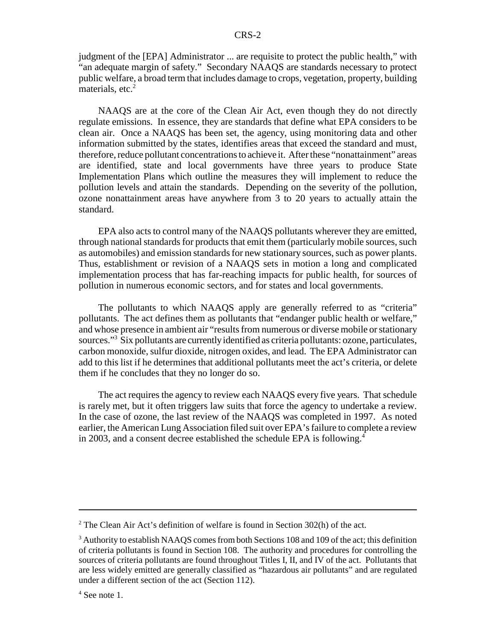judgment of the [EPA] Administrator ... are requisite to protect the public health," with "an adequate margin of safety." Secondary NAAQS are standards necessary to protect public welfare, a broad term that includes damage to crops, vegetation, property, building materials, etc.<sup>2</sup>

NAAQS are at the core of the Clean Air Act, even though they do not directly regulate emissions. In essence, they are standards that define what EPA considers to be clean air. Once a NAAQS has been set, the agency, using monitoring data and other information submitted by the states, identifies areas that exceed the standard and must, therefore, reduce pollutant concentrations to achieve it. After these "nonattainment" areas are identified, state and local governments have three years to produce State Implementation Plans which outline the measures they will implement to reduce the pollution levels and attain the standards. Depending on the severity of the pollution, ozone nonattainment areas have anywhere from 3 to 20 years to actually attain the standard.

EPA also acts to control many of the NAAQS pollutants wherever they are emitted, through national standards for products that emit them (particularly mobile sources, such as automobiles) and emission standards for new stationary sources, such as power plants. Thus, establishment or revision of a NAAQS sets in motion a long and complicated implementation process that has far-reaching impacts for public health, for sources of pollution in numerous economic sectors, and for states and local governments.

The pollutants to which NAAQS apply are generally referred to as "criteria" pollutants. The act defines them as pollutants that "endanger public health or welfare," and whose presence in ambient air "results from numerous or diverse mobile or stationary sources."<sup>3</sup> Six pollutants are currently identified as criteria pollutants: ozone, particulates, carbon monoxide, sulfur dioxide, nitrogen oxides, and lead. The EPA Administrator can add to this list if he determines that additional pollutants meet the act's criteria, or delete them if he concludes that they no longer do so.

The act requires the agency to review each NAAQS every five years. That schedule is rarely met, but it often triggers law suits that force the agency to undertake a review. In the case of ozone, the last review of the NAAQS was completed in 1997. As noted earlier, the American Lung Association filed suit over EPA's failure to complete a review in 2003, and a consent decree established the schedule EPA is following.4

<sup>&</sup>lt;sup>2</sup> The Clean Air Act's definition of welfare is found in Section 302(h) of the act.

 $3$  Authority to establish NAAQS comes from both Sections 108 and 109 of the act; this definition of criteria pollutants is found in Section 108. The authority and procedures for controlling the sources of criteria pollutants are found throughout Titles I, II, and IV of the act. Pollutants that are less widely emitted are generally classified as "hazardous air pollutants" and are regulated under a different section of the act (Section 112).

<sup>4</sup> See note 1.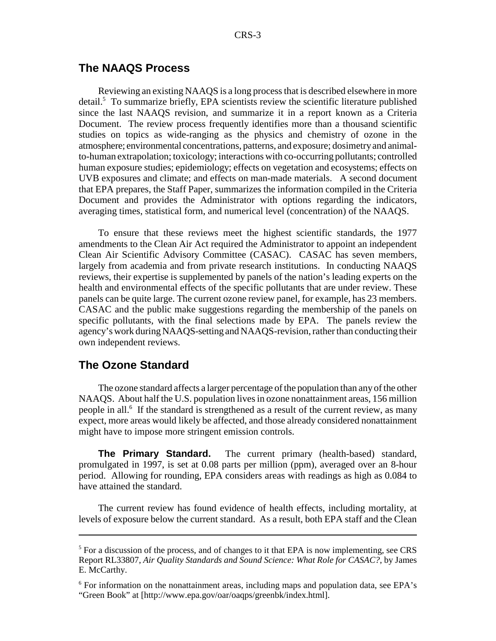#### **The NAAQS Process**

Reviewing an existing NAAQS is a long process that is described elsewhere in more detail.<sup>5</sup> To summarize briefly, EPA scientists review the scientific literature published since the last NAAQS revision, and summarize it in a report known as a Criteria Document. The review process frequently identifies more than a thousand scientific studies on topics as wide-ranging as the physics and chemistry of ozone in the atmosphere; environmental concentrations, patterns, and exposure; dosimetry and animalto-human extrapolation; toxicology; interactions with co-occurring pollutants; controlled human exposure studies; epidemiology; effects on vegetation and ecosystems; effects on UVB exposures and climate; and effects on man-made materials. A second document that EPA prepares, the Staff Paper, summarizes the information compiled in the Criteria Document and provides the Administrator with options regarding the indicators, averaging times, statistical form, and numerical level (concentration) of the NAAQS.

To ensure that these reviews meet the highest scientific standards, the 1977 amendments to the Clean Air Act required the Administrator to appoint an independent Clean Air Scientific Advisory Committee (CASAC). CASAC has seven members, largely from academia and from private research institutions. In conducting NAAQS reviews, their expertise is supplemented by panels of the nation's leading experts on the health and environmental effects of the specific pollutants that are under review. These panels can be quite large. The current ozone review panel, for example, has 23 members. CASAC and the public make suggestions regarding the membership of the panels on specific pollutants, with the final selections made by EPA. The panels review the agency's work during NAAQS-setting and NAAQS-revision, rather than conducting their own independent reviews.

#### **The Ozone Standard**

The ozone standard affects a larger percentage of the population than any of the other NAAQS. About half the U.S. population lives in ozone nonattainment areas, 156 million people in all.<sup>6</sup> If the standard is strengthened as a result of the current review, as many expect, more areas would likely be affected, and those already considered nonattainment might have to impose more stringent emission controls.

**The Primary Standard.** The current primary (health-based) standard, promulgated in 1997, is set at 0.08 parts per million (ppm), averaged over an 8-hour period. Allowing for rounding, EPA considers areas with readings as high as 0.084 to have attained the standard.

The current review has found evidence of health effects, including mortality, at levels of exposure below the current standard. As a result, both EPA staff and the Clean

<sup>&</sup>lt;sup>5</sup> For a discussion of the process, and of changes to it that EPA is now implementing, see CRS Report RL33807, *Air Quality Standards and Sound Science: What Role for CASAC?*, by James E. McCarthy.

<sup>&</sup>lt;sup>6</sup> For information on the nonattainment areas, including maps and population data, see EPA's "Green Book" at [http://www.epa.gov/oar/oaqps/greenbk/index.html].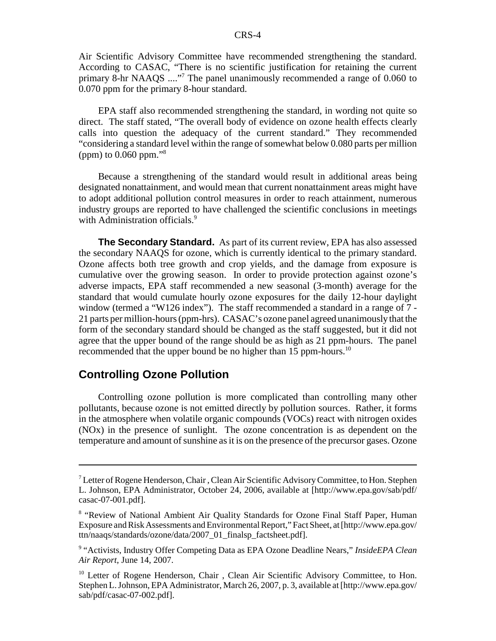Air Scientific Advisory Committee have recommended strengthening the standard. According to CASAC, "There is no scientific justification for retaining the current primary 8-hr NAAQS ...."<sup>7</sup> The panel unanimously recommended a range of 0.060 to 0.070 ppm for the primary 8-hour standard.

EPA staff also recommended strengthening the standard, in wording not quite so direct. The staff stated, "The overall body of evidence on ozone health effects clearly calls into question the adequacy of the current standard." They recommended "considering a standard level within the range of somewhat below 0.080 parts per million (ppm) to 0.060 ppm."8

Because a strengthening of the standard would result in additional areas being designated nonattainment, and would mean that current nonattainment areas might have to adopt additional pollution control measures in order to reach attainment, numerous industry groups are reported to have challenged the scientific conclusions in meetings with Administration officials.<sup>9</sup>

**The Secondary Standard.** As part of its current review, EPA has also assessed the secondary NAAQS for ozone, which is currently identical to the primary standard. Ozone affects both tree growth and crop yields, and the damage from exposure is cumulative over the growing season. In order to provide protection against ozone's adverse impacts, EPA staff recommended a new seasonal (3-month) average for the standard that would cumulate hourly ozone exposures for the daily 12-hour daylight window (termed a "W126 index"). The staff recommended a standard in a range of 7 - 21 parts per million-hours (ppm-hrs). CASAC's ozone panel agreed unanimously that the form of the secondary standard should be changed as the staff suggested, but it did not agree that the upper bound of the range should be as high as 21 ppm-hours. The panel recommended that the upper bound be no higher than 15 ppm-hours.<sup>10</sup>

#### **Controlling Ozone Pollution**

Controlling ozone pollution is more complicated than controlling many other pollutants, because ozone is not emitted directly by pollution sources. Rather, it forms in the atmosphere when volatile organic compounds (VOCs) react with nitrogen oxides (NOx) in the presence of sunlight. The ozone concentration is as dependent on the temperature and amount of sunshine as it is on the presence of the precursor gases. Ozone

<sup>&</sup>lt;sup>7</sup> Letter of Rogene Henderson, Chair, Clean Air Scientific Advisory Committee, to Hon. Stephen L. Johnson, EPA Administrator, October 24, 2006, available at [http://www.epa.gov/sab/pdf/ casac-07-001.pdf].

<sup>&</sup>lt;sup>8</sup> "Review of National Ambient Air Quality Standards for Ozone Final Staff Paper, Human Exposure and Risk Assessments and Environmental Report," Fact Sheet, at [http://www.epa.gov/ ttn/naaqs/standards/ozone/data/2007\_01\_finalsp\_factsheet.pdf].

<sup>9</sup> "Activists, Industry Offer Competing Data as EPA Ozone Deadline Nears," *InsideEPA Clean Air Report*, June 14, 2007.

<sup>&</sup>lt;sup>10</sup> Letter of Rogene Henderson, Chair, Clean Air Scientific Advisory Committee, to Hon. Stephen L. Johnson, EPA Administrator, March 26, 2007, p. 3, available at [http://www.epa.gov/ sab/pdf/casac-07-002.pdf].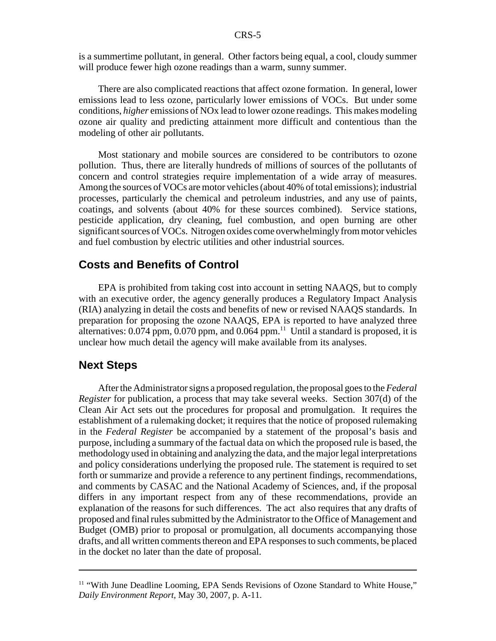is a summertime pollutant, in general. Other factors being equal, a cool, cloudy summer will produce fewer high ozone readings than a warm, sunny summer.

There are also complicated reactions that affect ozone formation. In general, lower emissions lead to less ozone, particularly lower emissions of VOCs. But under some conditions, *higher* emissions of NOx lead to lower ozone readings. This makes modeling ozone air quality and predicting attainment more difficult and contentious than the modeling of other air pollutants.

Most stationary and mobile sources are considered to be contributors to ozone pollution. Thus, there are literally hundreds of millions of sources of the pollutants of concern and control strategies require implementation of a wide array of measures. Among the sources of VOCs are motor vehicles (about 40% of total emissions); industrial processes, particularly the chemical and petroleum industries, and any use of paints, coatings, and solvents (about 40% for these sources combined). Service stations, pesticide application, dry cleaning, fuel combustion, and open burning are other significant sources of VOCs. Nitrogen oxides come overwhelmingly from motor vehicles and fuel combustion by electric utilities and other industrial sources.

#### **Costs and Benefits of Control**

EPA is prohibited from taking cost into account in setting NAAQS, but to comply with an executive order, the agency generally produces a Regulatory Impact Analysis (RIA) analyzing in detail the costs and benefits of new or revised NAAQS standards. In preparation for proposing the ozone NAAQS, EPA is reported to have analyzed three alternatives:  $0.074$  ppm,  $0.070$  ppm, and  $0.064$  ppm. $11$  Until a standard is proposed, it is unclear how much detail the agency will make available from its analyses.

#### **Next Steps**

After the Administrator signs a proposed regulation, the proposal goes to the *Federal Register* for publication, a process that may take several weeks. Section 307(d) of the Clean Air Act sets out the procedures for proposal and promulgation. It requires the establishment of a rulemaking docket; it requires that the notice of proposed rulemaking in the *Federal Register* be accompanied by a statement of the proposal's basis and purpose, including a summary of the factual data on which the proposed rule is based, the methodology used in obtaining and analyzing the data, and the major legal interpretations and policy considerations underlying the proposed rule. The statement is required to set forth or summarize and provide a reference to any pertinent findings, recommendations, and comments by CASAC and the National Academy of Sciences, and, if the proposal differs in any important respect from any of these recommendations, provide an explanation of the reasons for such differences. The act also requires that any drafts of proposed and final rules submitted by the Administrator to the Office of Management and Budget (OMB) prior to proposal or promulgation, all documents accompanying those drafts, and all written comments thereon and EPA responses to such comments, be placed in the docket no later than the date of proposal.

 $11$  "With June Deadline Looming, EPA Sends Revisions of Ozone Standard to White House," *Daily Environment Report*, May 30, 2007, p. A-11.